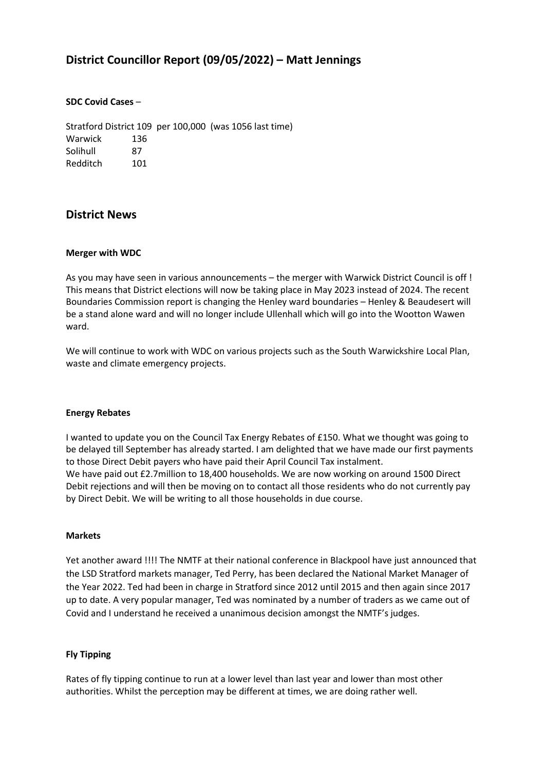# **District Councillor Report (09/05/2022) – Matt Jennings**

### **SDC Covid Cases** –

Stratford District 109 per 100,000 (was 1056 last time) Warwick 136 Solihull 87 Redditch 101

# **District News**

#### **Merger with WDC**

As you may have seen in various announcements – the merger with Warwick District Council is off ! This means that District elections will now be taking place in May 2023 instead of 2024. The recent Boundaries Commission report is changing the Henley ward boundaries – Henley & Beaudesert will be a stand alone ward and will no longer include Ullenhall which will go into the Wootton Wawen ward.

We will continue to work with WDC on various projects such as the South Warwickshire Local Plan, waste and climate emergency projects.

#### **Energy Rebates**

I wanted to update you on the Council Tax Energy Rebates of £150. What we thought was going to be delayed till September has already started. I am delighted that we have made our first payments to those Direct Debit payers who have paid their April Council Tax instalment. We have paid out £2.7million to 18,400 households. We are now working on around 1500 Direct Debit rejections and will then be moving on to contact all those residents who do not currently pay by Direct Debit. We will be writing to all those households in due course.

### **Markets**

Yet another award !!!! The NMTF at their national conference in Blackpool have just announced that the LSD Stratford markets manager, Ted Perry, has been declared the National Market Manager of the Year 2022. Ted had been in charge in Stratford since 2012 until 2015 and then again since 2017 up to date. A very popular manager, Ted was nominated by a number of traders as we came out of Covid and I understand he received a unanimous decision amongst the NMTF's judges.

#### **Fly Tipping**

Rates of fly tipping continue to run at a lower level than last year and lower than most other authorities. Whilst the perception may be different at times, we are doing rather well.